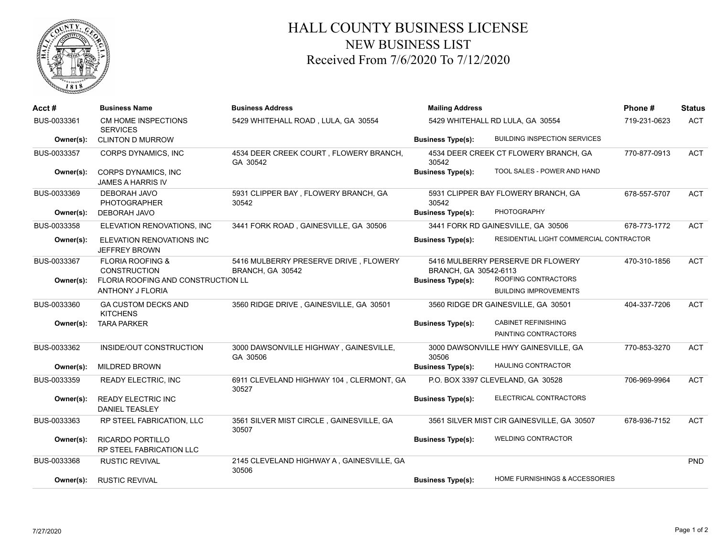

## HALL COUNTY BUSINESS LICENSE NEW BUSINESS LIST Received From 7/6/2020 To 7/12/2020

| Acct#       | <b>Business Name</b>                                       | <b>Business Address</b>                                   | <b>Mailing Address</b>           | Phone#                                     | <b>Status</b> |            |
|-------------|------------------------------------------------------------|-----------------------------------------------------------|----------------------------------|--------------------------------------------|---------------|------------|
| BUS-0033361 | CM HOME INSPECTIONS<br><b>SERVICES</b>                     | 5429 WHITEHALL ROAD, LULA, GA 30554                       | 5429 WHITEHALL RD LULA, GA 30554 |                                            | 719-231-0623  | <b>ACT</b> |
| Owner(s):   | <b>CLINTON D MURROW</b>                                    |                                                           | <b>Business Type(s):</b>         | <b>BUILDING INSPECTION SERVICES</b>        |               |            |
| BUS-0033357 | <b>CORPS DYNAMICS, INC</b>                                 | 4534 DEER CREEK COURT, FLOWERY BRANCH,<br>GA 30542        | 30542                            | 4534 DEER CREEK CT FLOWERY BRANCH, GA      | 770-877-0913  | <b>ACT</b> |
| Owner(s):   | CORPS DYNAMICS, INC<br><b>JAMES A HARRIS IV</b>            |                                                           | <b>Business Type(s):</b>         | TOOL SALES - POWER AND HAND                |               |            |
| BUS-0033369 | <b>DEBORAH JAVO</b><br><b>PHOTOGRAPHER</b>                 | 5931 CLIPPER BAY, FLOWERY BRANCH, GA<br>30542             | 30542                            | 5931 CLIPPER BAY FLOWERY BRANCH, GA        | 678-557-5707  | <b>ACT</b> |
| Owner(s):   | <b>DEBORAH JAVO</b>                                        |                                                           | <b>Business Type(s):</b>         | <b>PHOTOGRAPHY</b>                         |               |            |
| BUS-0033358 | ELEVATION RENOVATIONS, INC                                 | 3441 FORK ROAD, GAINESVILLE, GA 30506                     |                                  | 3441 FORK RD GAINESVILLE, GA 30506         | 678-773-1772  | <b>ACT</b> |
| Owner(s):   | ELEVATION RENOVATIONS INC<br><b>JEFFREY BROWN</b>          |                                                           | <b>Business Type(s):</b>         | RESIDENTIAL LIGHT COMMERCIAL CONTRACTOR    |               |            |
| BUS-0033367 | <b>FLORIA ROOFING &amp;</b><br><b>CONSTRUCTION</b>         | 5416 MULBERRY PRESERVE DRIVE, FLOWERY<br>BRANCH, GA 30542 | BRANCH, GA 30542-6113            | 5416 MULBERRY PERSERVE DR FLOWERY          | 470-310-1856  | <b>ACT</b> |
| Owner(s):   | FLORIA ROOFING AND CONSTRUCTION LL                         |                                                           | <b>Business Type(s):</b>         | ROOFING CONTRACTORS                        |               |            |
|             | <b>ANTHONY J FLORIA</b>                                    |                                                           |                                  | <b>BUILDING IMPROVEMENTS</b>               |               |            |
| BUS-0033360 | <b>GA CUSTOM DECKS AND</b><br><b>KITCHENS</b>              | 3560 RIDGE DRIVE, GAINESVILLE, GA 30501                   |                                  | 3560 RIDGE DR GAINESVILLE, GA 30501        | 404-337-7206  | <b>ACT</b> |
| Owner(s):   | <b>TARA PARKER</b>                                         |                                                           | <b>Business Type(s):</b>         | <b>CABINET REFINISHING</b>                 |               |            |
|             |                                                            |                                                           |                                  | PAINTING CONTRACTORS                       |               |            |
| BUS-0033362 | INSIDE/OUT CONSTRUCTION                                    | 3000 DAWSONVILLE HIGHWAY, GAINESVILLE,<br>GA 30506        | 30506                            | 3000 DAWSONVILLE HWY GAINESVILLE, GA       | 770-853-3270  | <b>ACT</b> |
| Owner(s):   | <b>MILDRED BROWN</b>                                       |                                                           | <b>Business Type(s):</b>         | <b>HAULING CONTRACTOR</b>                  |               |            |
| BUS-0033359 | <b>READY ELECTRIC, INC</b>                                 | 6911 CLEVELAND HIGHWAY 104, CLERMONT, GA<br>30527         |                                  | P.O. BOX 3397 CLEVELAND, GA 30528          | 706-969-9964  | <b>ACT</b> |
| Owner(s):   | <b>READY ELECTRIC INC</b><br><b>DANIEL TEASLEY</b>         |                                                           | <b>Business Type(s):</b>         | ELECTRICAL CONTRACTORS                     |               |            |
| BUS-0033363 | RP STEEL FABRICATION, LLC                                  | 3561 SILVER MIST CIRCLE, GAINESVILLE, GA<br>30507         |                                  | 3561 SILVER MIST CIR GAINESVILLE, GA 30507 | 678-936-7152  | <b>ACT</b> |
| Owner(s):   | <b>RICARDO PORTILLO</b><br><b>RP STEEL FABRICATION LLC</b> |                                                           | <b>Business Type(s):</b>         | <b>WELDING CONTRACTOR</b>                  |               |            |
| BUS-0033368 | <b>RUSTIC REVIVAL</b>                                      | 2145 CLEVELAND HIGHWAY A, GAINESVILLE, GA<br>30506        |                                  |                                            |               | <b>PND</b> |
| Owner(s):   | <b>RUSTIC REVIVAL</b>                                      |                                                           | <b>Business Type(s):</b>         | <b>HOME FURNISHINGS &amp; ACCESSORIES</b>  |               |            |